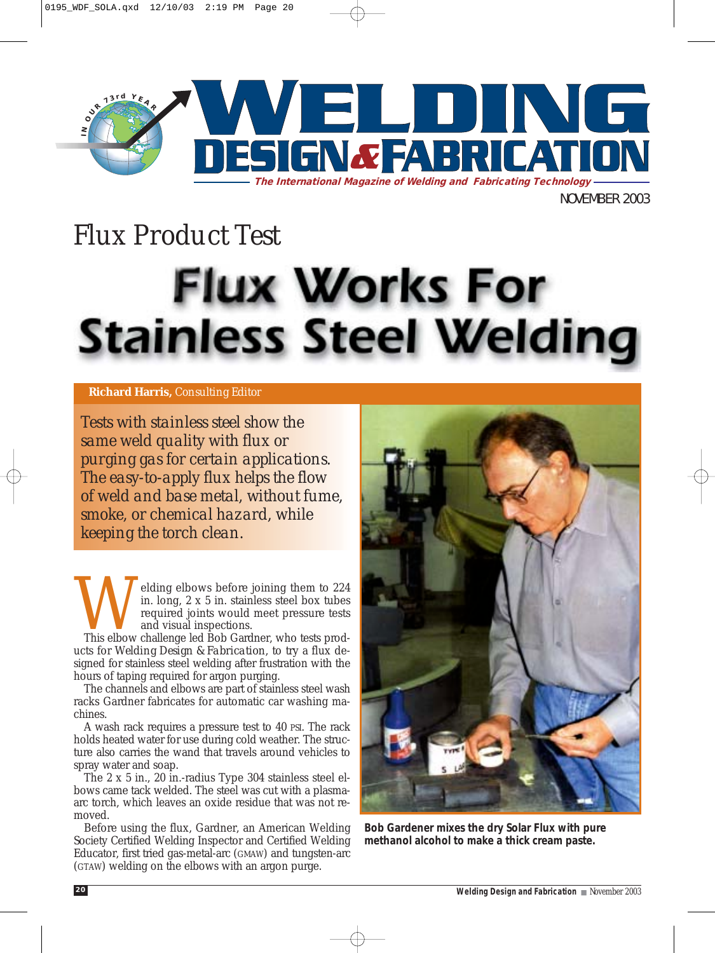

NOVEMBER 2003

# *Flux Product Test* **Flux Works For Stainless Steel Welding**

### **Richard Harris,** *Consulting Editor*

*Tests with stainless steel show the same weld quality with flux or purging gas for certain applications. The easy-to-apply flux helps the flow of weld and base metal, without fume, smoke, or chemical hazard, while keeping the torch clean.* 

Welding elbows before joining them to 224 in. long, 2 x 5 in. stainless steel box tubes required joints would meet pressure tests and visual inspections.<br>This elbow challenge led Bob Gardner, who tests prodin. long, 2 x 5 in. stainless steel box tubes required joints would meet pressure tests and visual inspections.

ucts for *Welding Design & Fabrication*, to try a flux designed for stainless steel welding after frustration with the hours of taping required for argon purging.

The channels and elbows are part of stainless steel wash racks Gardner fabricates for automatic car washing machines.

A wash rack requires a pressure test to 40 PSI. The rack holds heated water for use during cold weather. The structure also carries the wand that travels around vehicles to spray water and soap.

The 2 x 5 in., 20 in.-radius Type 304 stainless steel elbows came tack welded. The steel was cut with a plasmaarc torch, which leaves an oxide residue that was not removed.

Before using the flux, Gardner, an American Welding Society Certified Welding Inspector and Certified Welding Educator, first tried gas-metal-arc (GMAW) and tungsten-arc (GTAW) welding on the elbows with an argon purge.



*Bob Gardener mixes the dry Solar Flux with pure methanol alcohol to make a thick cream paste.*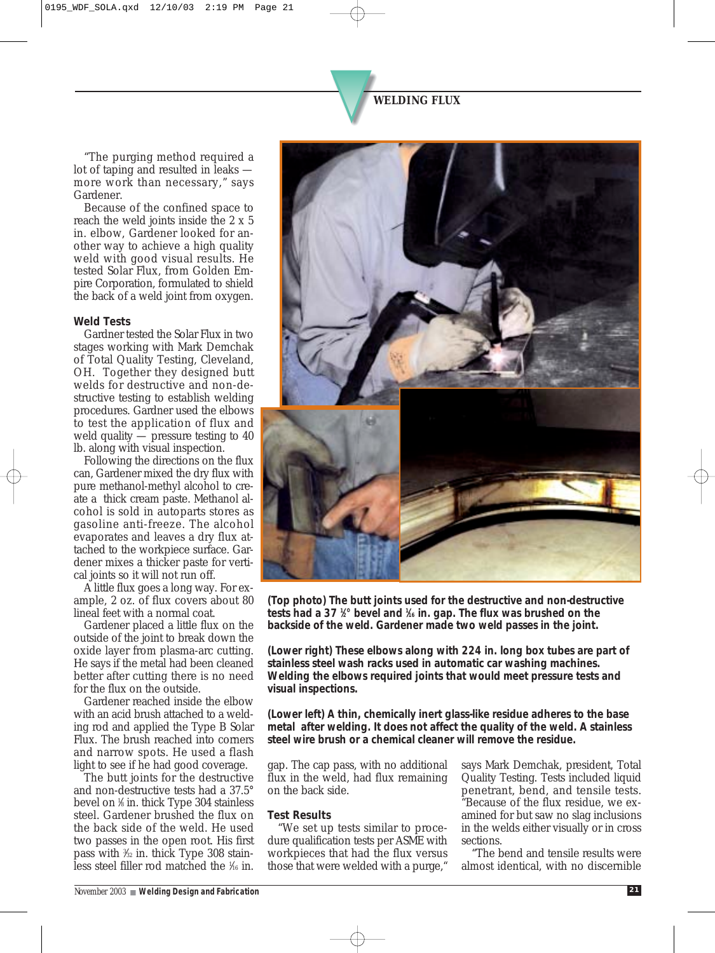"The purging method required a lot of taping and resulted in leaks more work than necessary," says Gardener.

Because of the confined space to reach the weld joints inside the 2 x 5 in. elbow, Gardener looked for another way to achieve a high quality weld with good visual results. He tested Solar Flux, from Golden Empire Corporation, formulated to shield the back of a weld joint from oxygen.

#### *Weld Tests*

Gardner tested the Solar Flux in two stages working with Mark Demchak of Total Quality Testing, Cleveland, OH. Together they designed butt welds for destructive and non-destructive testing to establish welding procedures. Gardner used the elbows to test the application of flux and weld quality — pressure testing to 40 lb. along with visual inspection.

Following the directions on the flux can, Gardener mixed the dry flux with pure methanol-methyl alcohol to create a thick cream paste. Methanol alcohol is sold in autoparts stores as gasoline anti-freeze. The alcohol evaporates and leaves a dry flux attached to the workpiece surface. Gardener mixes a thicker paste for vertical joints so it will not run off.

A little flux goes a long way. For example, 2 oz. of flux covers about 80 lineal feet with a normal coat.

Gardener placed a little flux on the outside of the joint to break down the oxide layer from plasma-arc cutting. He says if the metal had been cleaned better after cutting there is no need for the flux on the outside.

Gardener reached inside the elbow with an acid brush attached to a welding rod and applied the Type B Solar Flux. The brush reached into corners and narrow spots. He used a flash light to see if he had good coverage.

The butt joints for the destructive and non-destructive tests had a 37.5° bevel on 1 ⁄8 in. thick Type 304 stainless steel. Gardener brushed the flux on the back side of the weld. He used two passes in the open root. His first pass with <sup>3</sup>/<sub>3</sub> in. thick Type 308 stainless steel filler rod matched the 1 ⁄16 in.



*(Top photo) The butt joints used for the destructive and non-destructive tests had a 37 1 ⁄2° bevel and 1 ⁄16 in. gap. The flux was brushed on the backside of the weld. Gardener made two weld passes in the joint.*

*(Lower right) These elbows along with 224 in. long box tubes are part of stainless steel wash racks used in automatic car washing machines. Welding the elbows required joints that would meet pressure tests and visual inspections.* 

*(Lower left) A thin, chemically inert glass-like residue adheres to the base metal after welding. It does not affect the quality of the weld. A stainless steel wire brush or a chemical cleaner will remove the residue.*

gap. The cap pass, with no additional flux in the weld, had flux remaining on the back side.

#### *Test Results*

"We set up tests similar to procedure qualification tests per ASME with workpieces that had the flux versus those that were welded with a purge,"

says Mark Demchak, president, Total Quality Testing. Tests included liquid penetrant, bend, and tensile tests. "Because of the flux residue, we examined for but saw no slag inclusions in the welds either visually or in cross sections.

"The bend and tensile results were almost identical, with no discernible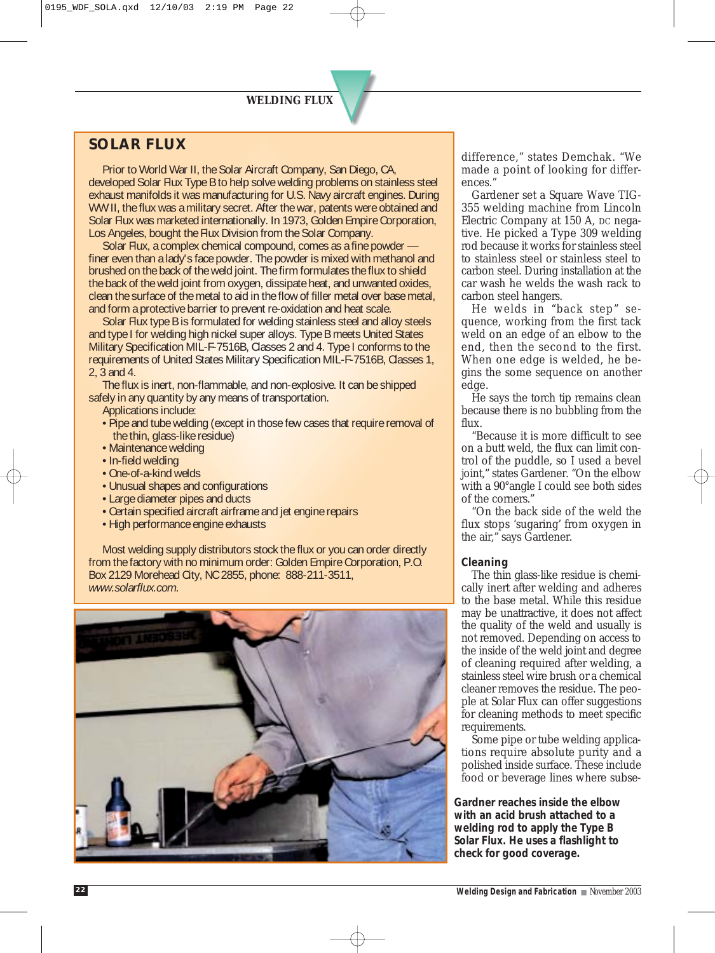## *WELDING FLUX*

## *SOLAR FLUX*

Prior to World War II, the Solar Aircraft Company, San Diego, CA, developed Solar Flux Type B to help solve welding problems on stainless steel exhaust manifolds it was manufacturing for U.S. Navy aircraft engines. During WW II, the flux was a military secret. After the war, patents were obtained and Solar Flux was marketed internationally. In 1973, Golden Empire Corporation, Los Angeles, bought the Flux Division from the Solar Company.

Solar Flux, a complex chemical compound, comes as a fine powder finer even than a lady's face powder. The powder is mixed with methanol and brushed on the back of the weld joint. The firm formulates the flux to shield the back of the weld joint from oxygen, dissipate heat, and unwanted oxides, clean the surface of the metal to aid in the flow of filler metal over base metal. and form a protective barrier to prevent re-oxidation and heat scale.

Solar Flux type B is formulated for welding stainless steel and alloy steels and type I for welding high nickel super alloys. Type B meets United States Military Specification MIL-F-7516B, Classes 2 and 4. Type I conforms to the requirements of United States Military Specification MIL-F-7516B, Classes 1, 2, 3 and 4.

The flux is inert, non-flammable, and non-explosive. It can be shipped safely in any quantity by any means of transportation.

Applications include:

- Pipe and tube welding (except in those few cases that require removal of the thin, glass-like residue)
- Maintenance welding
- In-field welding
- One-of-a-kind welds
- Unusual shapes and configurations
- Large diameter pipes and ducts
- Certain specified aircraft airframe and jet engine repairs
- High performance engine exhausts

Most welding supply distributors stock the flux or you can order directly from the factory with no minimum order: Golden Empire Corporation, P.O. Box 2129 Morehead City, NC 2855, phone: 888-211-3511, *www.solarflux.com.*



difference," states Demchak. "We made a point of looking for differences."

Gardener set a Square Wave TIG-355 welding machine from Lincoln Electric Company at 150 A, DC negative. He picked a Type 309 welding rod because it works for stainless steel to stainless steel or stainless steel to carbon steel. During installation at the car wash he welds the wash rack to carbon steel hangers.

He welds in "back step" sequence, working from the first tack weld on an edge of an elbow to the end, then the second to the first. When one edge is welded, he begins the some sequence on another edge.

He says the torch tip remains clean because there is no bubbling from the flux.

"Because it is more difficult to see on a butt weld, the flux can limit control of the puddle, so I used a bevel joint," states Gardener. "On the elbow with a 90°angle I could see both sides of the corners."

"On the back side of the weld the flux stops 'sugaring' from oxygen in the air," says Gardener.

#### *Cleaning*

The thin glass-like residue is chemically inert after welding and adheres to the base metal. While this residue may be unattractive, it does not affect the quality of the weld and usually is not removed. Depending on access to the inside of the weld joint and degree of cleaning required after welding, a stainless steel wire brush or a chemical cleaner removes the residue. The people at Solar Flux can offer suggestions for cleaning methods to meet specific requirements.

Some pipe or tube welding applications require absolute purity and a polished inside surface. These include food or beverage lines where subse-

*Gardner reaches inside the elbow with an acid brush attached to a welding rod to apply the Type B Solar Flux. He uses a flashlight to check for good coverage.*